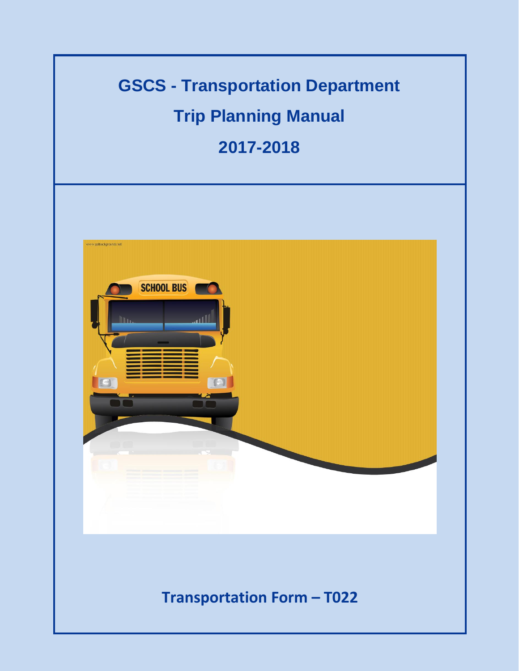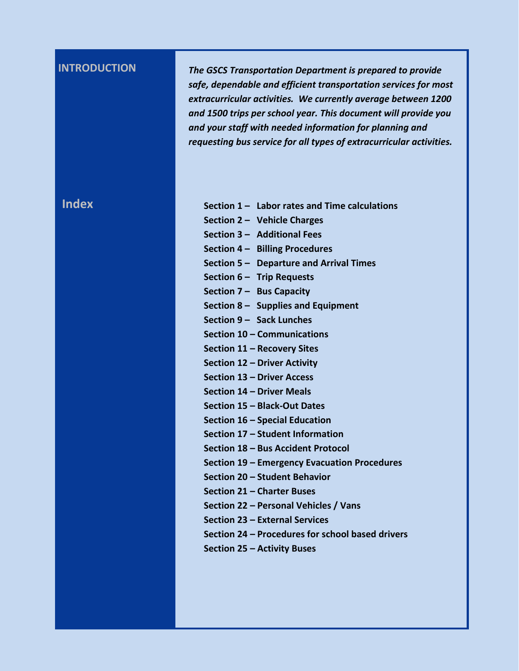**INTRODUCTION** *The GSCS Transportation Department is prepared to provide safe, dependable and efficient transportation services for most extracurricular activities. We currently average between 1200 and 1500 trips per school year. This document will provide you and your staff with needed information for planning and requesting bus service for all types of extracurricular activities.*

| <b>Index</b> | Section 1 - Labor rates and Time calculations    |
|--------------|--------------------------------------------------|
|              | Section 2 - Vehicle Charges                      |
|              |                                                  |
|              | Section 3 - Additional Fees                      |
|              | Section 4 - Billing Procedures                   |
|              | Section 5 - Departure and Arrival Times          |
|              | Section 6 - Trip Requests                        |
|              | Section $7 -$ Bus Capacity                       |
|              | Section $8 -$ Supplies and Equipment             |
|              | Section 9 - Sack Lunches                         |
|              | Section 10 - Communications                      |
|              | Section 11 - Recovery Sites                      |
|              | Section 12 - Driver Activity                     |
|              | Section 13 - Driver Access                       |
|              | Section 14 - Driver Meals                        |
|              | Section 15 - Black-Out Dates                     |
|              | Section 16 - Special Education                   |
|              | Section 17 - Student Information                 |
|              | Section 18 - Bus Accident Protocol               |
|              | Section 19 – Emergency Evacuation Procedures     |
|              | Section 20 - Student Behavior                    |
|              | Section 21 – Charter Buses                       |
|              | Section 22 - Personal Vehicles / Vans            |
|              | Section 23 - External Services                   |
|              | Section 24 - Procedures for school based drivers |
|              | Section 25 - Activity Buses                      |
|              |                                                  |
|              |                                                  |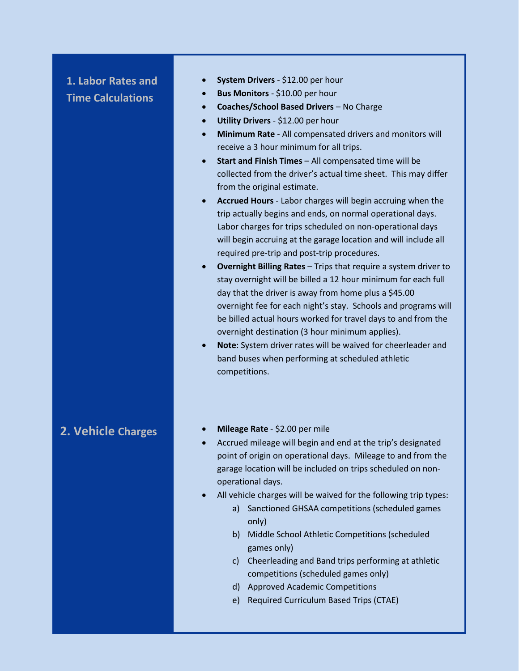## **1. Labor Rates and Time Calculations**

- **System Drivers** \$12.00 per hour
- **Bus Monitors** \$10.00 per hour
- **Coaches/School Based Drivers** No Charge
- **Utility Drivers** \$12.00 per hour
- **Minimum Rate** All compensated drivers and monitors will receive a 3 hour minimum for all trips.
- **Start and Finish Times** All compensated time will be collected from the driver's actual time sheet. This may differ from the original estimate.
- **Accrued Hours** Labor charges will begin accruing when the trip actually begins and ends, on normal operational days. Labor charges for trips scheduled on non-operational days will begin accruing at the garage location and will include all required pre-trip and post-trip procedures.
- **Overnight Billing Rates Trips that require a system driver to** stay overnight will be billed a 12 hour minimum for each full day that the driver is away from home plus a \$45.00 overnight fee for each night's stay. Schools and programs will be billed actual hours worked for travel days to and from the overnight destination (3 hour minimum applies).
- **Note**: System driver rates will be waived for cheerleader and band buses when performing at scheduled athletic competitions.

- **2. Vehicle Charges Charges Charges Parameter 2.00 per mile** 
	- Accrued mileage will begin and end at the trip's designated point of origin on operational days. Mileage to and from the garage location will be included on trips scheduled on nonoperational days.
	- All vehicle charges will be waived for the following trip types:
		- a) Sanctioned GHSAA competitions (scheduled games only)
		- b) Middle School Athletic Competitions (scheduled games only)
		- c) Cheerleading and Band trips performing at athletic competitions (scheduled games only)
		- d) Approved Academic Competitions
		- e) Required Curriculum Based Trips (CTAE)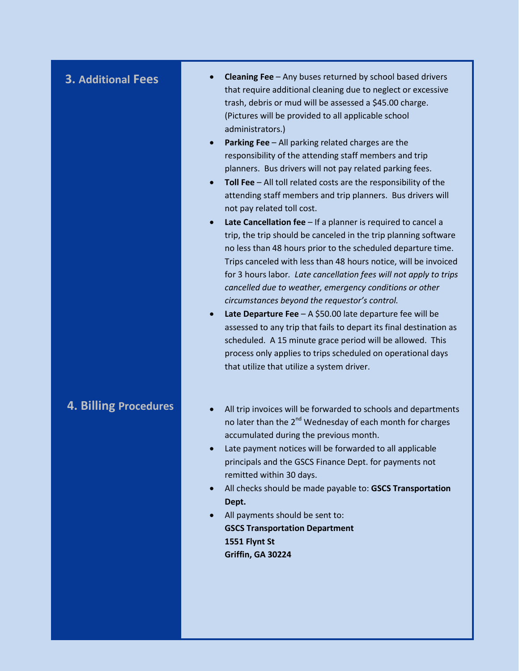- **3. Additional Fees Cleaning Fee** Any buses returned by school based drivers that require additional cleaning due to neglect or excessive trash, debris or mud will be assessed a \$45.00 charge. (Pictures will be provided to all applicable school administrators.)
	- **Parking Fee** All parking related charges are the responsibility of the attending staff members and trip planners. Bus drivers will not pay related parking fees.
	- **Toll Fee** All toll related costs are the responsibility of the attending staff members and trip planners. Bus drivers will not pay related toll cost.
	- **Late Cancellation fee** If a planner is required to cancel a trip, the trip should be canceled in the trip planning software no less than 48 hours prior to the scheduled departure time. Trips canceled with less than 48 hours notice, will be invoiced for 3 hours labor*. Late cancellation fees will not apply to trips cancelled due to weather, emergency conditions or other circumstances beyond the requestor's control.*
	- **Late Departure Fee**  A \$50.00 late departure fee will be assessed to any trip that fails to depart its final destination as scheduled. A 15 minute grace period will be allowed. This process only applies to trips scheduled on operational days that utilize that utilize a system driver.

- **4. Billing Procedures**  $\bullet$  **All trip invoices will be forwarded to schools and departments** no later than the 2<sup>nd</sup> Wednesday of each month for charges accumulated during the previous month.
	- Late payment notices will be forwarded to all applicable principals and the GSCS Finance Dept. for payments not remitted within 30 days.
	- All checks should be made payable to: **GSCS Transportation Dept.**
	- All payments should be sent to: **GSCS Transportation Department 1551 Flynt St Griffin, GA 30224**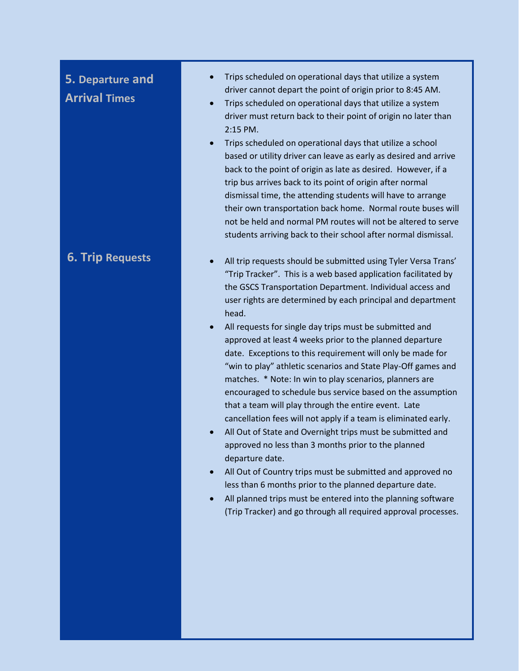# **5. Departure and Arrival Times**

- Trips scheduled on operational days that utilize a system driver cannot depart the point of origin prior to 8:45 AM.
- Trips scheduled on operational days that utilize a system driver must return back to their point of origin no later than 2:15 PM.
- Trips scheduled on operational days that utilize a school based or utility driver can leave as early as desired and arrive back to the point of origin as late as desired. However, if a trip bus arrives back to its point of origin after normal dismissal time, the attending students will have to arrange their own transportation back home. Normal route buses will not be held and normal PM routes will not be altered to serve students arriving back to their school after normal dismissal.
- **6. Trip Requests All trip requests should be submitted using Tyler Versa Trans'** "Trip Tracker". This is a web based application facilitated by the GSCS Transportation Department. Individual access and user rights are determined by each principal and department head.
	- All requests for single day trips must be submitted and approved at least 4 weeks prior to the planned departure date. Exceptions to this requirement will only be made for "win to play" athletic scenarios and State Play-Off games and matches. \* Note: In win to play scenarios, planners are encouraged to schedule bus service based on the assumption that a team will play through the entire event. Late cancellation fees will not apply if a team is eliminated early.
	- All Out of State and Overnight trips must be submitted and approved no less than 3 months prior to the planned departure date.
	- All Out of Country trips must be submitted and approved no less than 6 months prior to the planned departure date.
	- All planned trips must be entered into the planning software (Trip Tracker) and go through all required approval processes.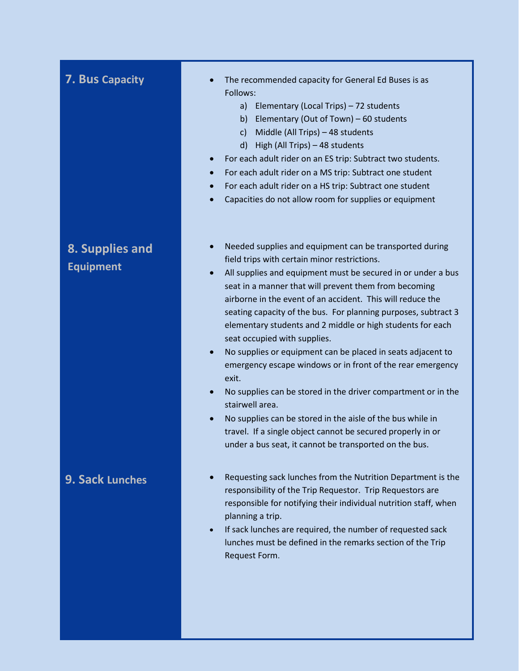## **7. Bus Capacity**

## **8. Supplies and Equipment**

## **9. Sack Lunches**

- The recommended capacity for General Ed Buses is as Follows:
	- a) Elementary (Local Trips) 72 students
	- b) Elementary (Out of Town) 60 students
	- c) Middle (All Trips) 48 students
	- d) High (All Trips) 48 students
- For each adult rider on an ES trip: Subtract two students.
- For each adult rider on a MS trip: Subtract one student
- For each adult rider on a HS trip: Subtract one student
- Capacities do not allow room for supplies or equipment
- Needed supplies and equipment can be transported during field trips with certain minor restrictions.
- All supplies and equipment must be secured in or under a bus seat in a manner that will prevent them from becoming airborne in the event of an accident. This will reduce the seating capacity of the bus. For planning purposes, subtract 3 elementary students and 2 middle or high students for each seat occupied with supplies.
- No supplies or equipment can be placed in seats adjacent to emergency escape windows or in front of the rear emergency exit.
- No supplies can be stored in the driver compartment or in the stairwell area.
- No supplies can be stored in the aisle of the bus while in travel. If a single object cannot be secured properly in or under a bus seat, it cannot be transported on the bus.
- Requesting sack lunches from the Nutrition Department is the responsibility of the Trip Requestor. Trip Requestors are responsible for notifying their individual nutrition staff, when planning a trip.
- If sack lunches are required, the number of requested sack lunches must be defined in the remarks section of the Trip Request Form.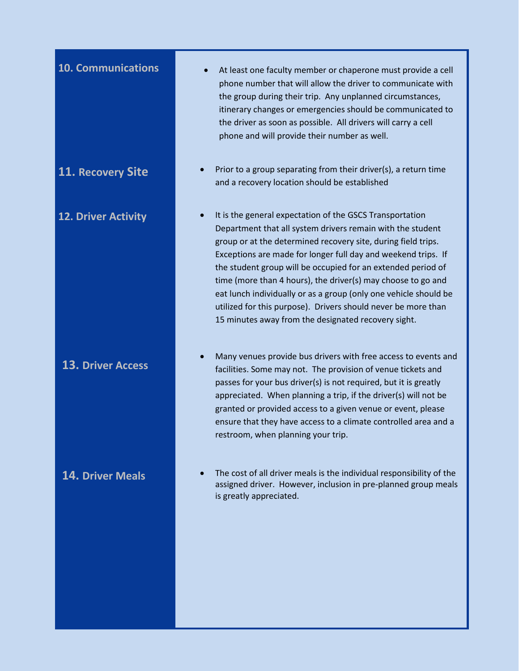## **13. Driver Access**

- **10. Communications At least one faculty member or chaperone must provide a cell** phone number that will allow the driver to communicate with the group during their trip. Any unplanned circumstances, itinerary changes or emergencies should be communicated to the driver as soon as possible. All drivers will carry a cell phone and will provide their number as well.
- **11. Recovery Site CELL COVER 11. Recovery Site Prior to a group separating from their driver(s), a return time** and a recovery location should be established
- **12. Driver Activity 12. Driver Activity In the State I**t is the general expectation of the GSCS Transportation Department that all system drivers remain with the student group or at the determined recovery site, during field trips. Exceptions are made for longer full day and weekend trips. If the student group will be occupied for an extended period of time (more than 4 hours), the driver(s) may choose to go and eat lunch individually or as a group (only one vehicle should be utilized for this purpose). Drivers should never be more than 15 minutes away from the designated recovery sight.
	- Many venues provide bus drivers with free access to events and facilities. Some may not. The provision of venue tickets and passes for your bus driver(s) is not required, but it is greatly appreciated. When planning a trip, if the driver(s) will not be granted or provided access to a given venue or event, please ensure that they have access to a climate controlled area and a restroom, when planning your trip.
- **14. Driver Meals •** The cost of all driver meals is the individual responsibility of the assigned driver. However, inclusion in pre-planned group meals is greatly appreciated.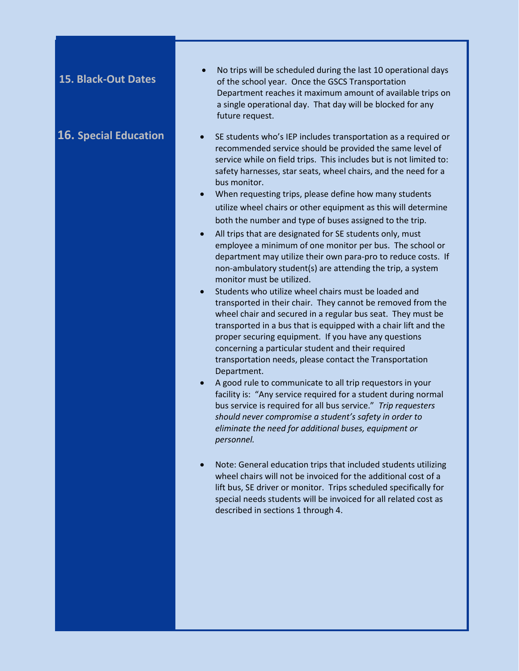## **15. Black-Out Dates**

- No trips will be scheduled during the last 10 operational days of the school year. Once the GSCS Transportation Department reaches it maximum amount of available trips on a single operational day. That day will be blocked for any future request.
- **16. Special Education •** SE students who's IEP includes transportation as a required or recommended service should be provided the same level of service while on field trips. This includes but is not limited to: safety harnesses, star seats, wheel chairs, and the need for a bus monitor.
	- When requesting trips, please define how many students utilize wheel chairs or other equipment as this will determine both the number and type of buses assigned to the trip.
	- All trips that are designated for SE students only, must employee a minimum of one monitor per bus. The school or department may utilize their own para-pro to reduce costs. If non-ambulatory student(s) are attending the trip, a system monitor must be utilized.
	- Students who utilize wheel chairs must be loaded and transported in their chair. They cannot be removed from the wheel chair and secured in a regular bus seat. They must be transported in a bus that is equipped with a chair lift and the proper securing equipment. If you have any questions concerning a particular student and their required transportation needs, please contact the Transportation Department.
	- A good rule to communicate to all trip requestors in your facility is: "Any service required for a student during normal bus service is required for all bus service."*Trip requesters should never compromise a student's safety in order to eliminate the need for additional buses, equipment or personnel.*
	- Note: General education trips that included students utilizing wheel chairs will not be invoiced for the additional cost of a lift bus, SE driver or monitor. Trips scheduled specifically for special needs students will be invoiced for all related cost as described in sections 1 through 4.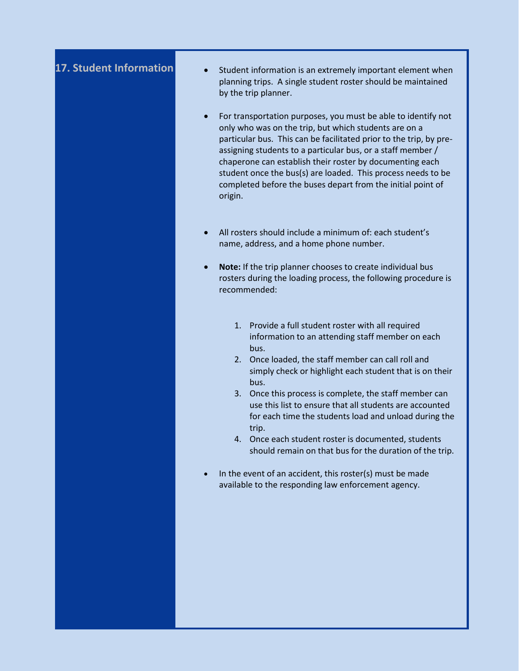- **17. Student Information** Student information is an extremely important element when planning trips. A single student roster should be maintained by the trip planner.
	- For transportation purposes, you must be able to identify not only who was on the trip, but which students are on a particular bus. This can be facilitated prior to the trip, by preassigning students to a particular bus, or a staff member / chaperone can establish their roster by documenting each student once the bus(s) are loaded. This process needs to be completed before the buses depart from the initial point of origin.
	- All rosters should include a minimum of: each student's name, address, and a home phone number.
	- **Note:** If the trip planner chooses to create individual bus rosters during the loading process, the following procedure is recommended:
		- 1. Provide a full student roster with all required information to an attending staff member on each bus.
		- 2. Once loaded, the staff member can call roll and simply check or highlight each student that is on their bus.
		- 3. Once this process is complete, the staff member can use this list to ensure that all students are accounted for each time the students load and unload during the trip.
		- 4. Once each student roster is documented, students should remain on that bus for the duration of the trip.
	- In the event of an accident, this roster(s) must be made available to the responding law enforcement agency.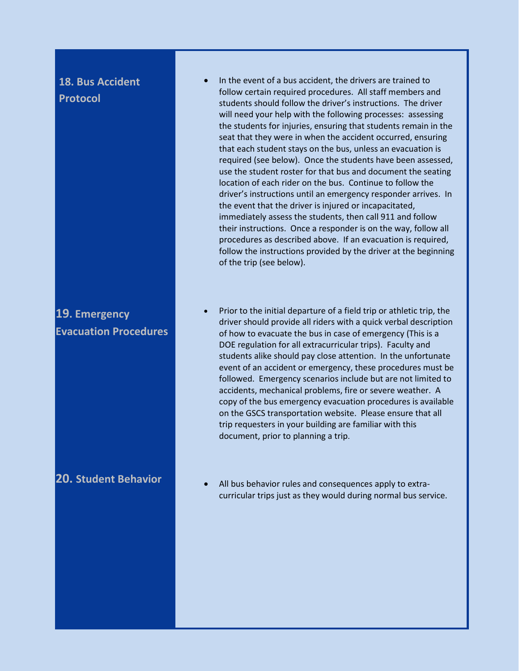## **18. Bus Accident Protocol**

## **19. Emergency Evacuation Procedures**

- In the event of a bus accident, the drivers are trained to follow certain required procedures. All staff members and students should follow the driver's instructions. The driver will need your help with the following processes: assessing the students for injuries, ensuring that students remain in the seat that they were in when the accident occurred, ensuring that each student stays on the bus, unless an evacuation is required (see below). Once the students have been assessed, use the student roster for that bus and document the seating location of each rider on the bus. Continue to follow the driver's instructions until an emergency responder arrives. In the event that the driver is injured or incapacitated, immediately assess the students, then call 911 and follow their instructions. Once a responder is on the way, follow all procedures as described above. If an evacuation is required, follow the instructions provided by the driver at the beginning of the trip (see below).
- Prior to the initial departure of a field trip or athletic trip, the driver should provide all riders with a quick verbal description of how to evacuate the bus in case of emergency (This is a DOE regulation for all extracurricular trips). Faculty and students alike should pay close attention. In the unfortunate event of an accident or emergency, these procedures must be followed. Emergency scenarios include but are not limited to accidents, mechanical problems, fire or severe weather. A copy of the bus emergency evacuation procedures is available on the GSCS transportation website. Please ensure that all trip requesters in your building are familiar with this document, prior to planning a trip.
- **20. Student Behavior Conservation All bus behavior rules and consequences apply to extra**curricular trips just as they would during normal bus service.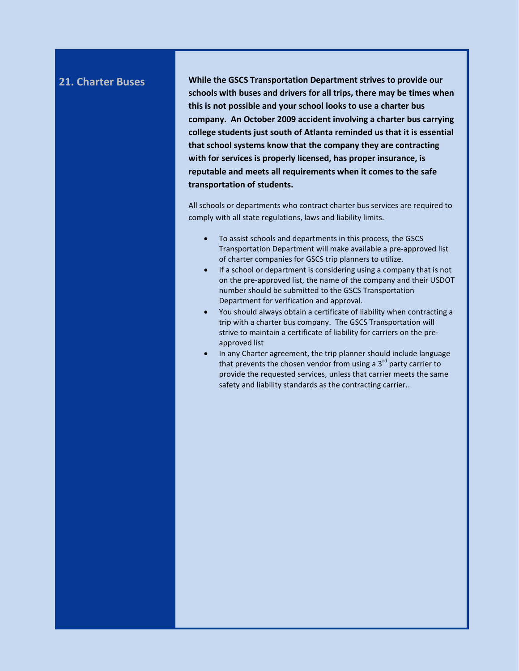**21. Charter Buses While the GSCS Transportation Department strives to provide our schools with buses and drivers for all trips, there may be times when this is not possible and your school looks to use a charter bus company. An October 2009 accident involving a charter bus carrying college students just south of Atlanta reminded us that it is essential that school systems know that the company they are contracting with for services is properly licensed, has proper insurance, is reputable and meets all requirements when it comes to the safe transportation of students.** 

> All schools or departments who contract charter bus services are required to comply with all state regulations, laws and liability limits.

- To assist schools and departments in this process, the GSCS Transportation Department will make available a pre-approved list of charter companies for GSCS trip planners to utilize.
- If a school or department is considering using a company that is not on the pre-approved list, the name of the company and their USDOT number should be submitted to the GSCS Transportation Department for verification and approval.
- You should always obtain a certificate of liability when contracting a trip with a charter bus company. The GSCS Transportation will strive to maintain a certificate of liability for carriers on the preapproved list
- In any Charter agreement, the trip planner should include language that prevents the chosen vendor from using a  $3<sup>rd</sup>$  party carrier to provide the requested services, unless that carrier meets the same safety and liability standards as the contracting carrier..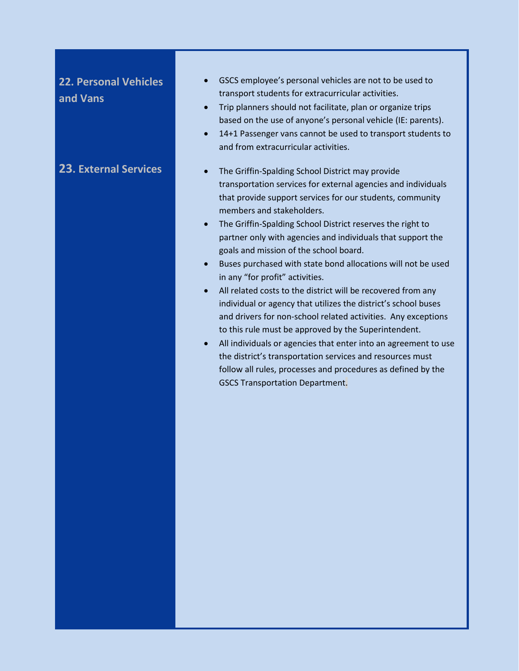## **22. Personal Vehicles and Vans**

- GSCS employee's personal vehicles are not to be used to transport students for extracurricular activities.
- Trip planners should not facilitate, plan or organize trips based on the use of anyone's personal vehicle (IE: parents).
- 14+1 Passenger vans cannot be used to transport students to and from extracurricular activities.
- **23. External Services CELC 10. 12. The Griffin-Spalding School District may provide** transportation services for external agencies and individuals that provide support services for our students, community members and stakeholders.
	- The Griffin-Spalding School District reserves the right to partner only with agencies and individuals that support the goals and mission of the school board.
	- Buses purchased with state bond allocations will not be used in any "for profit" activities.
	- All related costs to the district will be recovered from any individual or agency that utilizes the district's school buses and drivers for non-school related activities. Any exceptions to this rule must be approved by the Superintendent.
	- All individuals or agencies that enter into an agreement to use the district's transportation services and resources must follow all rules, processes and procedures as defined by the GSCS Transportation Department.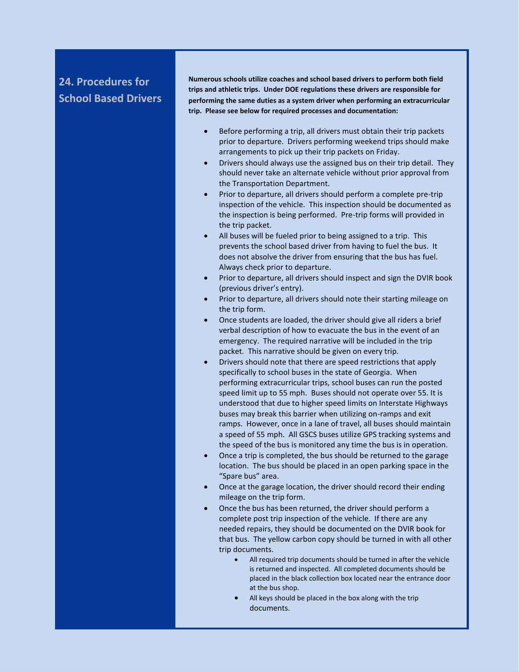## **24. Procedures for School Based Drivers**

**Numerous schools utilize coaches and school based drivers to perform both field trips and athletic trips. Under DOE regulations these drivers are responsible for performing the same duties as a system driver when performing an extracurricular trip. Please see below for required processes and documentation:**

- Before performing a trip, all drivers must obtain their trip packets prior to departure. Drivers performing weekend trips should make arrangements to pick up their trip packets on Friday.
- Drivers should always use the assigned bus on their trip detail. They should never take an alternate vehicle without prior approval from the Transportation Department.
- Prior to departure, all drivers should perform a complete pre-trip inspection of the vehicle. This inspection should be documented as the inspection is being performed. Pre-trip forms will provided in the trip packet.
- All buses will be fueled prior to being assigned to a trip. This prevents the school based driver from having to fuel the bus. It does not absolve the driver from ensuring that the bus has fuel. Always check prior to departure.
- Prior to departure, all drivers should inspect and sign the DVIR book (previous driver's entry).
- Prior to departure, all drivers should note their starting mileage on the trip form.
- Once students are loaded, the driver should give all riders a brief verbal description of how to evacuate the bus in the event of an emergency. The required narrative will be included in the trip packet. This narrative should be given on every trip.
- Drivers should note that there are speed restrictions that apply specifically to school buses in the state of Georgia. When performing extracurricular trips, school buses can run the posted speed limit up to 55 mph. Buses should not operate over 55. It is understood that due to higher speed limits on Interstate Highways buses may break this barrier when utilizing on-ramps and exit ramps. However, once in a lane of travel, all buses should maintain a speed of 55 mph. All GSCS buses utilize GPS tracking systems and the speed of the bus is monitored any time the bus is in operation.
- Once a trip is completed, the bus should be returned to the garage location. The bus should be placed in an open parking space in the "Spare bus" area.
- Once at the garage location, the driver should record their ending mileage on the trip form.
- Once the bus has been returned, the driver should perform a complete post trip inspection of the vehicle. If there are any needed repairs, they should be documented on the DVIR book for that bus. The yellow carbon copy should be turned in with all other trip documents.
	- All required trip documents should be turned in after the vehicle is returned and inspected. All completed documents should be placed in the black collection box located near the entrance door at the bus shop.
	- All keys should be placed in the box along with the trip documents.